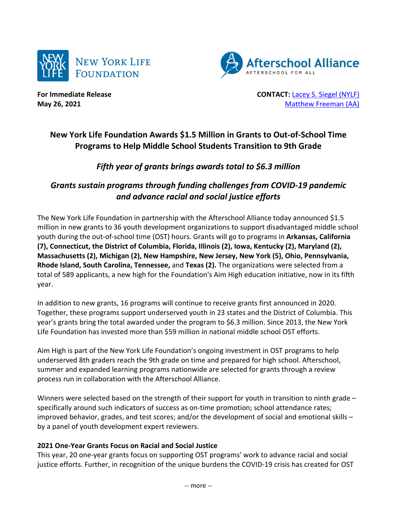



**For Immediate Release CONTACT:** [Lacey S. Siegel \(NYLF\)](mailto:lacey_s_siegel@newyorklife.com?subject=New%20York%20Life%20Fdtn/Afterschool%20Alliance) **May 26, 2021** [Matthew Freeman](mailto:matt@prsolutionsdc.com?subject=New%20York%20Life%20Fdtn/Afterschool%20Alliance) (AA)

# **New York Life Foundation Awards \$1.5 Million in Grants to Out-of-School Time Programs to Help Middle School Students Transition to 9th Grade**

## *Fifth year of grants brings awards total to \$6.3 million*

## *Grants sustain programs through funding challenges from COVID-19 pandemic and advance racial and social justice efforts*

The New York Life Foundation in partnership with the Afterschool Alliance today announced \$1.5 million in new grants to 36 youth development organizations to support disadvantaged middle school youth during the out-of-school time (OST) hours. Grants will go to programs in **Arkansas, California (7), Connecticut, the District of Columbia, Florida, Illinois (2), Iowa, Kentucky (2), Maryland (2), Massachusetts (2), Michigan (2), New Hampshire, New Jersey, New York (5), Ohio, Pennsylvania, Rhode Island, South Carolina, Tennessee,** and **Texas (2).** The organizations were selected from a total of 589 applicants, a new high for the Foundation's Aim High education initiative, now in its fifth year.

In addition to new grants, 16 programs will continue to receive grants first announced in 2020. Together, these programs support underserved youth in 23 states and the District of Columbia. This year's grants bring the total awarded under the program to \$6.3 million. Since 2013, the New York Life Foundation has invested more than \$59 million in national middle school OST efforts.

Aim High is part of the New York Life Foundation's ongoing investment in OST programs to help underserved 8th graders reach the 9th grade on time and prepared for high school. Afterschool, summer and expanded learning programs nationwide are selected for grants through a review process run in collaboration with the Afterschool Alliance.

Winners were selected based on the strength of their support for youth in transition to ninth grade specifically around such indicators of success as on-time promotion; school attendance rates; improved behavior, grades, and test scores; and/or the development of social and emotional skills – by a panel of youth development expert reviewers.

## **2021 One-Year Grants Focus on Racial and Social Justice**

This year, 20 one-year grants focus on supporting OST programs' work to advance racial and social justice efforts. Further, in recognition of the unique burdens the COVID-19 crisis has created for OST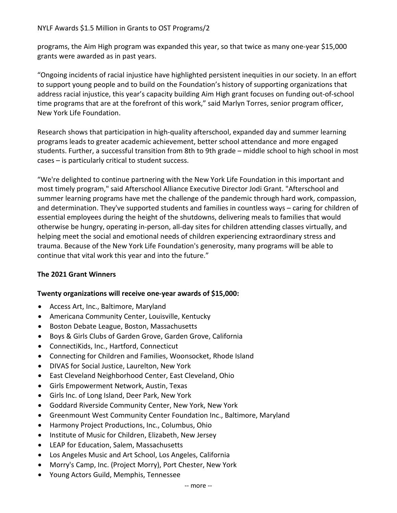programs, the Aim High program was expanded this year, so that twice as many one-year \$15,000 grants were awarded as in past years.

"Ongoing incidents of racial injustice have highlighted persistent inequities in our society. In an effort to support young people and to build on the Foundation's history of supporting organizations that address racial injustice, this year's capacity building Aim High grant focuses on funding out-of-school time programs that are at the forefront of this work," said Marlyn Torres, senior program officer, New York Life Foundation.

Research shows that participation in high-quality afterschool, expanded day and summer learning programs leads to greater academic achievement, better school attendance and more engaged students. Further, a successful transition from 8th to 9th grade – middle school to high school in most cases – is particularly critical to student success.

"We're delighted to continue partnering with the New York Life Foundation in this important and most timely program," said Afterschool Alliance Executive Director Jodi Grant. "Afterschool and summer learning programs have met the challenge of the pandemic through hard work, compassion, and determination. They've supported students and families in countless ways – caring for children of essential employees during the height of the shutdowns, delivering meals to families that would otherwise be hungry, operating in-person, all-day sites for children attending classes virtually, and helping meet the social and emotional needs of children experiencing extraordinary stress and trauma. Because of the New York Life Foundation's generosity, many programs will be able to continue that vital work this year and into the future."

## **The 2021 Grant Winners**

## **Twenty organizations will receive one-year awards of \$15,000:**

- Access Art, Inc., Baltimore, Maryland
- Americana Community Center, Louisville, Kentucky
- Boston Debate League, Boston, Massachusetts
- Boys & Girls Clubs of Garden Grove, Garden Grove, California
- ConnectiKids, Inc., Hartford, Connecticut
- Connecting for Children and Families, Woonsocket, Rhode Island
- DIVAS for Social Justice, Laurelton, New York
- East Cleveland Neighborhood Center, East Cleveland, Ohio
- Girls Empowerment Network, Austin, Texas
- Girls Inc. of Long Island, Deer Park, New York
- Goddard Riverside Community Center, New York, New York
- Greenmount West Community Center Foundation Inc., Baltimore, Maryland
- Harmony Project Productions, Inc., Columbus, Ohio
- Institute of Music for Children, Elizabeth, New Jersey
- LEAP for Education, Salem, Massachusetts
- Los Angeles Music and Art School, Los Angeles, California
- Morry's Camp, Inc. (Project Morry), Port Chester, New York
- Young Actors Guild, Memphis, Tennessee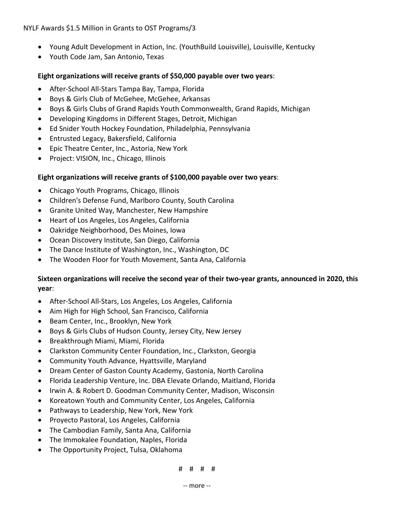NYLF Awards \$1.5 Million in Grants to OST Programs/3

- Young Adult Development in Action, Inc. (YouthBuild Louisville), Louisville, Kentucky
- Youth Code Jam, San Antonio, Texas

### **Eight organizations will receive grants of \$50,000 payable over two years**:

- After-School All-Stars Tampa Bay, Tampa, Florida
- Boys & Girls Club of McGehee, McGehee, Arkansas
- Boys & Girls Clubs of Grand Rapids Youth Commonwealth, Grand Rapids, Michigan
- Developing Kingdoms in Different Stages, Detroit, Michigan
- Ed Snider Youth Hockey Foundation, Philadelphia, Pennsylvania
- Entrusted Legacy, Bakersfield, California
- Epic Theatre Center, Inc., Astoria, New York
- Project: VISION, Inc., Chicago, Illinois

#### **Eight organizations will receive grants of \$100,000 payable over two years**:

- Chicago Youth Programs, Chicago, Illinois
- Children's Defense Fund, Marlboro County, South Carolina
- Granite United Way, Manchester, New Hampshire
- Heart of Los Angeles, Los Angeles, California
- Oakridge Neighborhood, Des Moines, Iowa
- Ocean Discovery Institute, San Diego, California
- The Dance Institute of Washington, Inc., Washington, DC
- The Wooden Floor for Youth Movement, Santa Ana, California

## **Sixteen organizations will receive the second year of their two-year grants, announced in 2020, this year**:

- After-School All-Stars, Los Angeles, Los Angeles, California
- Aim High for High School, San Francisco, California
- Beam Center, Inc., Brooklyn, New York
- Boys & Girls Clubs of Hudson County, Jersey City, New Jersey
- Breakthrough Miami, Miami, Florida
- Clarkston Community Center Foundation, Inc., Clarkston, Georgia
- Community Youth Advance, Hyattsville, Maryland
- Dream Center of Gaston County Academy, Gastonia, North Carolina
- Florida Leadership Venture, Inc. DBA Elevate Orlando, Maitland, Florida
- Irwin A. & Robert D. Goodman Community Center, Madison, Wisconsin
- Koreatown Youth and Community Center, Los Angeles, California
- Pathways to Leadership, New York, New York
- Proyecto Pastoral, Los Angeles, California
- The Cambodian Family, Santa Ana, California
- The Immokalee Foundation, Naples, Florida
- The Opportunity Project, Tulsa, Oklahoma

# # # #